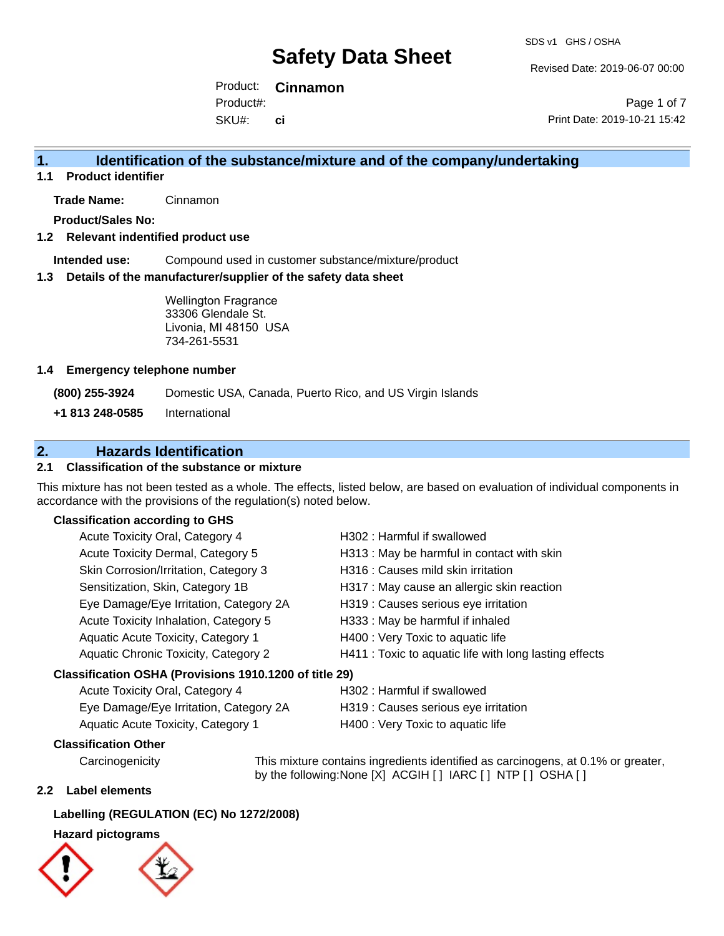Revised Date: 2019-06-07 00:00

Product: **Cinnamon**  SKU#: Product#: **ci**

Page 1 of 7 Print Date: 2019-10-21 15:42

## **1. Identification of the substance/mixture and of the company/undertaking**

**1.1 Product identifier**

**Trade Name:** Cinnamon

**Product/Sales No:**

#### **1.2 Relevant indentified product use**

**Intended use:** Compound used in customer substance/mixture/product

#### **1.3 Details of the manufacturer/supplier of the safety data sheet**

Wellington Fragrance 33306 Glendale St. Livonia, MI 48150 USA 734-261-5531

#### **1.4 Emergency telephone number**

**(800) 255-3924** Domestic USA, Canada, Puerto Rico, and US Virgin Islands

**+1 813 248-0585** International

## **2. Hazards Identification**

#### **2.1 Classification of the substance or mixture**

This mixture has not been tested as a whole. The effects, listed below, are based on evaluation of individual components in accordance with the provisions of the regulation(s) noted below.

#### **Classification according to GHS**

| Acute Toxicity Oral, Category 4                        | H302: Harmful if swallowed                             |
|--------------------------------------------------------|--------------------------------------------------------|
| Acute Toxicity Dermal, Category 5                      | H313 : May be harmful in contact with skin             |
| Skin Corrosion/Irritation, Category 3                  | H316 : Causes mild skin irritation                     |
| Sensitization, Skin, Category 1B                       | H317 : May cause an allergic skin reaction             |
| Eye Damage/Eye Irritation, Category 2A                 | H319 : Causes serious eye irritation                   |
| Acute Toxicity Inhalation, Category 5                  | H333: May be harmful if inhaled                        |
| Aquatic Acute Toxicity, Category 1                     | H400 : Very Toxic to aquatic life                      |
| Aquatic Chronic Toxicity, Category 2                   | H411 : Toxic to aquatic life with long lasting effects |
| Classification OSHA (Provisions 1910.1200 of title 29) |                                                        |
| Acute Toxicity Oral, Category 4                        | H302: Harmful if swallowed                             |

| $1.00010 + 0.0001, 0.0001, 0.0000$     |                                      |
|----------------------------------------|--------------------------------------|
| Eye Damage/Eye Irritation, Category 2A | H319 : Causes serious eye irritation |
| Aquatic Acute Toxicity, Category 1     | H400 : Very Toxic to aquatic life    |

### **Classification Other**

Carcinogenicity This mixture contains ingredients identified as carcinogens, at 0.1% or greater, by the following:None [X] ACGIH [] IARC [] NTP [] OSHA []

#### **2.2 Label elements**

#### **Labelling (REGULATION (EC) No 1272/2008)**

#### **Hazard pictograms**



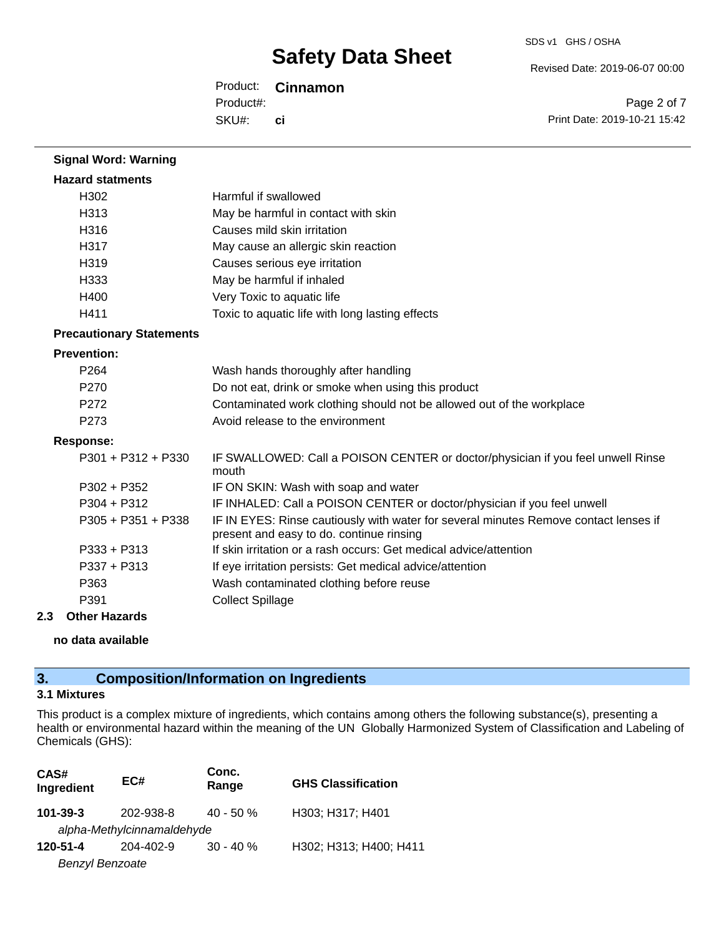Revised Date: 2019-06-07 00:00

Product: **Cinnamon**  SKU#: Product#: **ci**

Page 2 of 7 Print Date: 2019-10-21 15:42

| <b>Signal Word: Warning</b>     |                                                                                                                                  |
|---------------------------------|----------------------------------------------------------------------------------------------------------------------------------|
| <b>Hazard statments</b>         |                                                                                                                                  |
| H302                            | Harmful if swallowed                                                                                                             |
| H313                            | May be harmful in contact with skin                                                                                              |
| H316                            | Causes mild skin irritation                                                                                                      |
| H317                            | May cause an allergic skin reaction                                                                                              |
| H319                            | Causes serious eye irritation                                                                                                    |
| H333                            | May be harmful if inhaled                                                                                                        |
| H400                            | Very Toxic to aquatic life                                                                                                       |
| H411                            | Toxic to aquatic life with long lasting effects                                                                                  |
| <b>Precautionary Statements</b> |                                                                                                                                  |
| <b>Prevention:</b>              |                                                                                                                                  |
| P <sub>264</sub>                | Wash hands thoroughly after handling                                                                                             |
| P270                            | Do not eat, drink or smoke when using this product                                                                               |
| P <sub>272</sub>                | Contaminated work clothing should not be allowed out of the workplace                                                            |
| P <sub>273</sub>                | Avoid release to the environment                                                                                                 |
| <b>Response:</b>                |                                                                                                                                  |
| $P301 + P312 + P330$            | IF SWALLOWED: Call a POISON CENTER or doctor/physician if you feel unwell Rinse<br>mouth                                         |
| $P302 + P352$                   | IF ON SKIN: Wash with soap and water                                                                                             |
| $P304 + P312$                   | IF INHALED: Call a POISON CENTER or doctor/physician if you feel unwell                                                          |
| $P305 + P351 + P338$            | IF IN EYES: Rinse cautiously with water for several minutes Remove contact lenses if<br>present and easy to do. continue rinsing |
| $P333 + P313$                   | If skin irritation or a rash occurs: Get medical advice/attention                                                                |
| $P337 + P313$                   | If eye irritation persists: Get medical advice/attention                                                                         |
| P363                            | Wash contaminated clothing before reuse                                                                                          |
| P391                            | <b>Collect Spillage</b>                                                                                                          |
|                                 |                                                                                                                                  |

### **2.3 Other Hazards**

**no data available**

# **3. Composition/Information on Ingredients**

#### **3.1 Mixtures**

This product is a complex mixture of ingredients, which contains among others the following substance(s), presenting a health or environmental hazard within the meaning of the UN Globally Harmonized System of Classification and Labeling of Chemicals (GHS):

| CAS#<br>Ingredient     | EC#                        | Conc.<br>Range | <b>GHS Classification</b> |
|------------------------|----------------------------|----------------|---------------------------|
| $101 - 39 - 3$         | 202-938-8                  | $40 - 50 \%$   | H303; H317; H401          |
|                        | alpha-Methylcinnamaldehyde |                |                           |
| 120-51-4               | 204-402-9                  | $30 - 40 \%$   | H302; H313; H400; H411    |
| <b>Benzyl Benzoate</b> |                            |                |                           |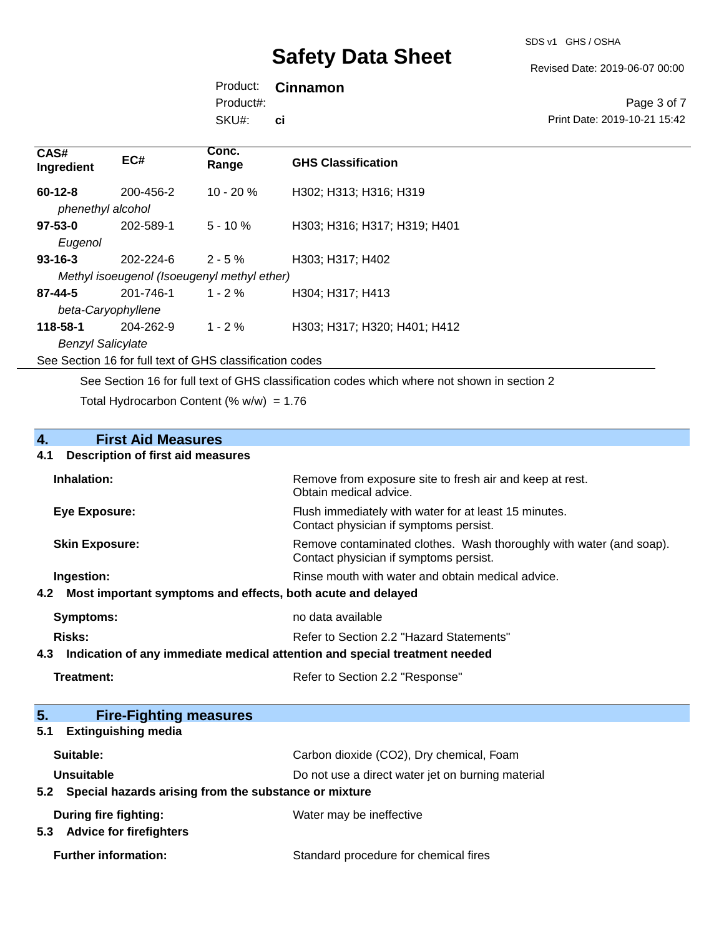Revised Date: 2019-06-07 00:00

Product: **Cinnamon**  Product#:

SKU#: **ci**

Page 3 of 7 Print Date: 2019-10-21 15:42

| CAS#<br>Ingredient                                       | EC#                                         | Conc.<br>Range | <b>GHS Classification</b>    |  |
|----------------------------------------------------------|---------------------------------------------|----------------|------------------------------|--|
| $60-12-8$<br>phenethyl alcohol                           | 200-456-2                                   | $10 - 20 \%$   | H302; H313; H316; H319       |  |
| $97 - 53 - 0$                                            | 202-589-1                                   | $5 - 10 \%$    | H303; H316; H317; H319; H401 |  |
| Eugenol                                                  |                                             |                |                              |  |
| $93 - 16 - 3$                                            | 202-224-6                                   | $2 - 5%$       | H303; H317; H402             |  |
|                                                          | Methyl isoeugenol (Isoeugenyl methyl ether) |                |                              |  |
| 87-44-5                                                  | 201-746-1                                   | $1 - 2 \%$     | H304: H317: H413             |  |
| beta-Caryophyllene                                       |                                             |                |                              |  |
| 118-58-1                                                 | 204-262-9                                   | $1 - 2\%$      | H303; H317; H320; H401; H412 |  |
| <b>Benzyl Salicylate</b>                                 |                                             |                |                              |  |
| See Section 16 for full text of GHS classification codes |                                             |                |                              |  |

See Section 16 for full text of GHS classification codes which where not shown in section 2

Total Hydrocarbon Content (%  $w/w$ ) = 1.76

# **4. First Aid Measures**

#### **4.1 Description of first aid measures**

| Inhalation:                                                     | Remove from exposure site to fresh air and keep at rest.<br>Obtain medical advice.                            |
|-----------------------------------------------------------------|---------------------------------------------------------------------------------------------------------------|
| <b>Eye Exposure:</b>                                            | Flush immediately with water for at least 15 minutes.<br>Contact physician if symptoms persist.               |
| <b>Skin Exposure:</b>                                           | Remove contaminated clothes. Wash thoroughly with water (and soap).<br>Contact physician if symptoms persist. |
| Ingestion:                                                      | Rinse mouth with water and obtain medical advice.                                                             |
| 4.2 Most important symptoms and effects, both acute and delayed |                                                                                                               |
| Symptoms:                                                       | no data available                                                                                             |
| Risks:                                                          | Refer to Section 2.2 "Hazard Statements"                                                                      |
|                                                                 |                                                                                                               |

**4.3 Indication of any immediate medical attention and special treatment needed**

| Treatment: |  |
|------------|--|
|------------|--|

Refer to Section 2.2 "Response"

| 5.<br><b>Fire-Fighting measures</b>                            |                                                   |
|----------------------------------------------------------------|---------------------------------------------------|
| <b>Extinguishing media</b><br>5.1                              |                                                   |
| Suitable:                                                      | Carbon dioxide (CO2), Dry chemical, Foam          |
| Unsuitable                                                     | Do not use a direct water jet on burning material |
| Special hazards arising from the substance or mixture<br>5.2   |                                                   |
| During fire fighting:<br><b>Advice for firefighters</b><br>5.3 | Water may be ineffective                          |
| <b>Further information:</b>                                    | Standard procedure for chemical fires             |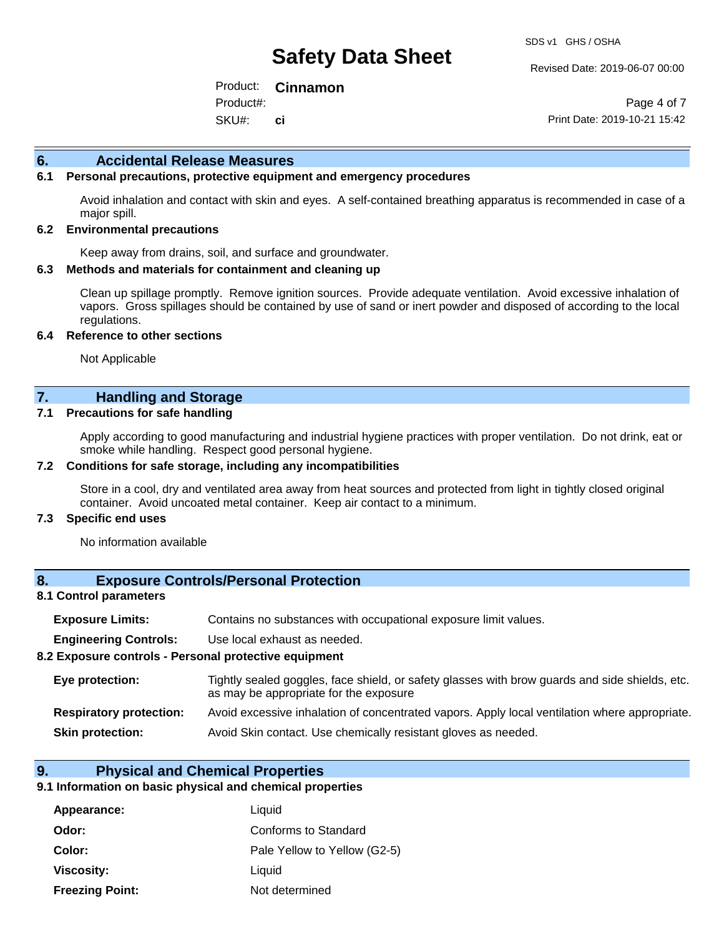Revised Date: 2019-06-07 00:00

Product: **Cinnamon**  SKU#: Product#: **ci**

Page 4 of 7 Print Date: 2019-10-21 15:42

#### **6. Accidental Release Measures**

#### **6.1 Personal precautions, protective equipment and emergency procedures**

Avoid inhalation and contact with skin and eyes. A self-contained breathing apparatus is recommended in case of a major spill.

#### **6.2 Environmental precautions**

Keep away from drains, soil, and surface and groundwater.

#### **6.3 Methods and materials for containment and cleaning up**

Clean up spillage promptly. Remove ignition sources. Provide adequate ventilation. Avoid excessive inhalation of vapors. Gross spillages should be contained by use of sand or inert powder and disposed of according to the local regulations.

#### **6.4 Reference to other sections**

Not Applicable

### **7. Handling and Storage**

#### **7.1 Precautions for safe handling**

Apply according to good manufacturing and industrial hygiene practices with proper ventilation. Do not drink, eat or smoke while handling. Respect good personal hygiene.

#### **7.2 Conditions for safe storage, including any incompatibilities**

Store in a cool, dry and ventilated area away from heat sources and protected from light in tightly closed original container. Avoid uncoated metal container. Keep air contact to a minimum.

#### **7.3 Specific end uses**

No information available

#### **8. Exposure Controls/Personal Protection**

#### **8.1 Control parameters**

| <b>Exposure Limits:</b> |  |  |  | Contains no substances with occupational exposure limit values. |  |
|-------------------------|--|--|--|-----------------------------------------------------------------|--|
|-------------------------|--|--|--|-----------------------------------------------------------------|--|

**Engineering Controls:** Use local exhaust as needed.

#### **8.2 Exposure controls - Personal protective equipment**

| Eye protection:                | Tightly sealed goggles, face shield, or safety glasses with brow guards and side shields, etc.<br>as may be appropriate for the exposure |  |
|--------------------------------|------------------------------------------------------------------------------------------------------------------------------------------|--|
| <b>Respiratory protection:</b> | Avoid excessive inhalation of concentrated vapors. Apply local ventilation where appropriate.                                            |  |
| <b>Skin protection:</b>        | Avoid Skin contact. Use chemically resistant gloves as needed.                                                                           |  |

#### **9. Physical and Chemical Properties**

#### **9.1 Information on basic physical and chemical properties**

| Appearance:            | Liquid                       |
|------------------------|------------------------------|
| Odor:                  | Conforms to Standard         |
| Color:                 | Pale Yellow to Yellow (G2-5) |
| Viscosity:             | Liquid                       |
| <b>Freezing Point:</b> | Not determined               |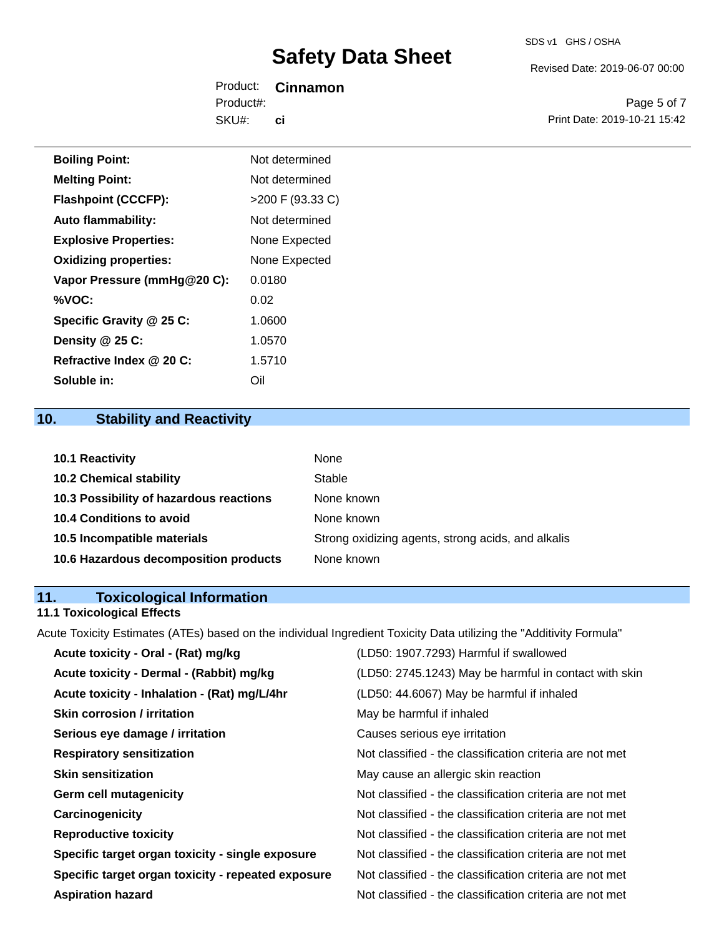Revised Date: 2019-06-07 00:00

Product: **Cinnamon**  SKU#: Product#: **ci**

Page 5 of 7 Print Date: 2019-10-21 15:42

| <b>Boiling Point:</b>        | Not determined     |
|------------------------------|--------------------|
| <b>Melting Point:</b>        | Not determined     |
| <b>Flashpoint (CCCFP):</b>   | $>200$ F (93.33 C) |
| <b>Auto flammability:</b>    | Not determined     |
| <b>Explosive Properties:</b> | None Expected      |
| <b>Oxidizing properties:</b> | None Expected      |
| Vapor Pressure (mmHg@20 C):  | 0.0180             |
| %VOC:                        | 0.02               |
| Specific Gravity @ 25 C:     | 1.0600             |
| Density @ 25 C:              | 1.0570             |
| Refractive Index @ 20 C:     | 1.5710             |
| Soluble in:                  | Oil                |

# **10. Stability and Reactivity**

| <b>10.1 Reactivity</b>                  | None                                               |
|-----------------------------------------|----------------------------------------------------|
| <b>10.2 Chemical stability</b>          | Stable                                             |
| 10.3 Possibility of hazardous reactions | None known                                         |
| <b>10.4 Conditions to avoid</b>         | None known                                         |
| 10.5 Incompatible materials             | Strong oxidizing agents, strong acids, and alkalis |
| 10.6 Hazardous decomposition products   | None known                                         |

# **11. Toxicological Information**

### **11.1 Toxicological Effects**

Acute Toxicity Estimates (ATEs) based on the individual Ingredient Toxicity Data utilizing the "Additivity Formula"

| Acute toxicity - Oral - (Rat) mg/kg                | (LD50: 1907.7293) Harmful if swallowed                   |
|----------------------------------------------------|----------------------------------------------------------|
| Acute toxicity - Dermal - (Rabbit) mg/kg           | (LD50: 2745.1243) May be harmful in contact with skin    |
| Acute toxicity - Inhalation - (Rat) mg/L/4hr       | (LD50: 44.6067) May be harmful if inhaled                |
| <b>Skin corrosion / irritation</b>                 | May be harmful if inhaled                                |
| Serious eye damage / irritation                    | Causes serious eye irritation                            |
| <b>Respiratory sensitization</b>                   | Not classified - the classification criteria are not met |
| <b>Skin sensitization</b>                          | May cause an allergic skin reaction                      |
| <b>Germ cell mutagenicity</b>                      | Not classified - the classification criteria are not met |
| Carcinogenicity                                    | Not classified - the classification criteria are not met |
| <b>Reproductive toxicity</b>                       | Not classified - the classification criteria are not met |
| Specific target organ toxicity - single exposure   | Not classified - the classification criteria are not met |
| Specific target organ toxicity - repeated exposure | Not classified - the classification criteria are not met |
| <b>Aspiration hazard</b>                           | Not classified - the classification criteria are not met |
|                                                    |                                                          |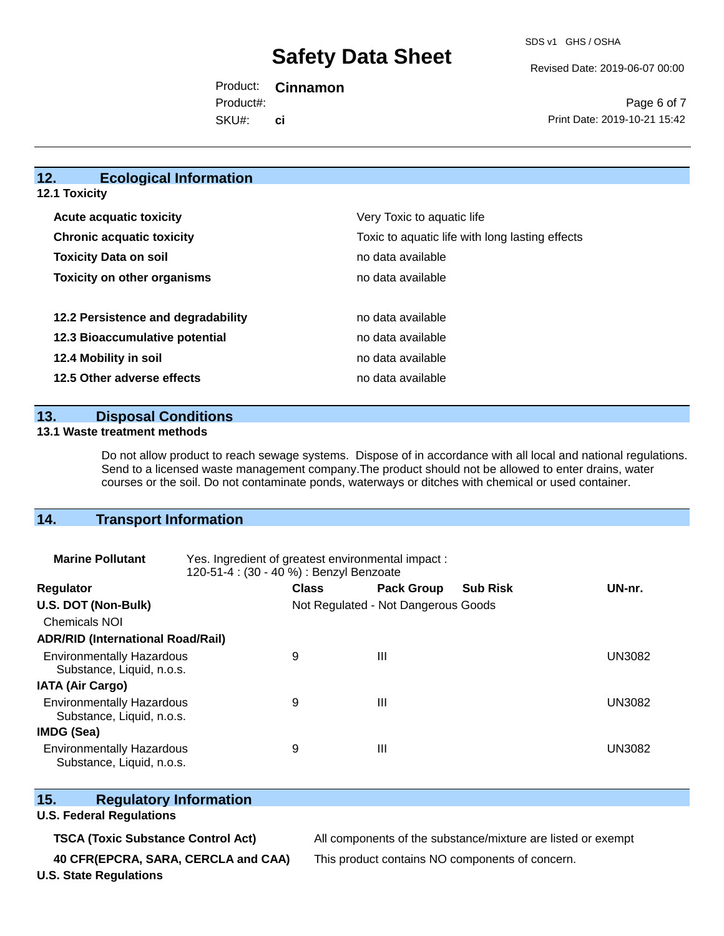Revised Date: 2019-06-07 00:00

Product: **Cinnamon**  SKU#: Product#: **ci**

Page 6 of 7 Print Date: 2019-10-21 15:42

# **12. Ecological Information**

**12.1 Toxicity**

| <b>Acute acquatic toxicity</b>   |                                    | Very Toxic to aquatic life                      |
|----------------------------------|------------------------------------|-------------------------------------------------|
| <b>Chronic acquatic toxicity</b> |                                    | Toxic to aquatic life with long lasting effects |
| <b>Toxicity Data on soil</b>     |                                    | no data available                               |
|                                  | <b>Toxicity on other organisms</b> | no data available                               |
|                                  |                                    |                                                 |
|                                  | 12.2 Persistence and degradability | no data available                               |
|                                  | 12.3 Bioaccumulative potential     | no data available                               |
| 12.4 Mobility in soil            |                                    | no data available                               |
| 12.5 Other adverse effects       |                                    | no data available                               |

**13. Disposal Conditions** 

#### **13.1 Waste treatment methods**

Do not allow product to reach sewage systems. Dispose of in accordance with all local and national regulations. Send to a licensed waste management company.The product should not be allowed to enter drains, water courses or the soil. Do not contaminate ponds, waterways or ditches with chemical or used container.

### **14. Transport Information**

| <b>Marine Pollutant</b>                                       | Yes. Ingredient of greatest environmental impact:<br>120-51-4 : (30 - 40 %) : Benzyl Benzoate |                                     |                   |                 |               |
|---------------------------------------------------------------|-----------------------------------------------------------------------------------------------|-------------------------------------|-------------------|-----------------|---------------|
| <b>Regulator</b>                                              |                                                                                               | <b>Class</b>                        | <b>Pack Group</b> | <b>Sub Risk</b> | UN-nr.        |
| U.S. DOT (Non-Bulk)                                           |                                                                                               | Not Regulated - Not Dangerous Goods |                   |                 |               |
| <b>Chemicals NOI</b>                                          |                                                                                               |                                     |                   |                 |               |
| <b>ADR/RID (International Road/Rail)</b>                      |                                                                                               |                                     |                   |                 |               |
| <b>Environmentally Hazardous</b><br>Substance, Liquid, n.o.s. |                                                                                               | 9                                   | $\mathbf{III}$    |                 | UN3082        |
| <b>IATA (Air Cargo)</b>                                       |                                                                                               |                                     |                   |                 |               |
| <b>Environmentally Hazardous</b><br>Substance, Liquid, n.o.s. |                                                                                               | 9                                   | $\mathbf{III}$    |                 | <b>UN3082</b> |
| <b>IMDG (Sea)</b>                                             |                                                                                               |                                     |                   |                 |               |
| <b>Environmentally Hazardous</b><br>Substance, Liquid, n.o.s. |                                                                                               | 9                                   | Ш                 |                 | UN3082        |

### **15. Regulatory Information**

### **U.S. Federal Regulations**

**40 CFR(EPCRA, SARA, CERCLA and CAA)** This product contains NO components of concern.

**TSCA (Toxic Substance Control Act)** All components of the substance/mixture are listed or exempt

**U.S. State Regulations**